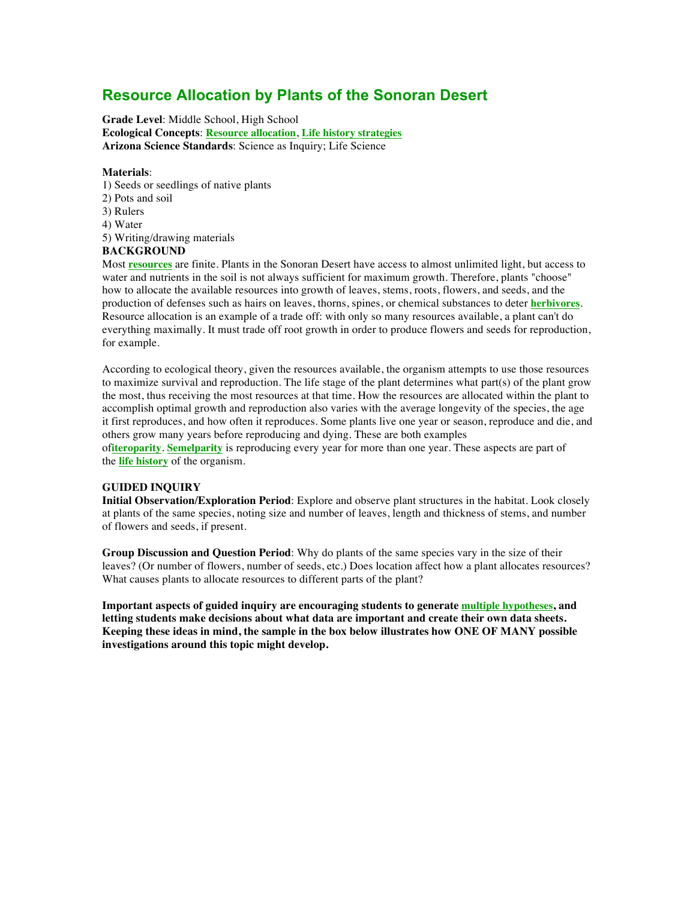# **Resource Allocation by Plants of the Sonoran Desert**

**Grade Level**: Middle School, High School **Ecological Concepts**: **Resource allocation**, **Life history strategies Arizona Science Standards**: Science as Inquiry; Life Science

## **Materials**:

- 1) Seeds or seedlings of native plants
- 2) Pots and soil
- 3) Rulers
- 4) Water
- 5) Writing/drawing materials

## **BACKGROUND**

Most **resources** are finite. Plants in the Sonoran Desert have access to almost unlimited light, but access to water and nutrients in the soil is not always sufficient for maximum growth. Therefore, plants "choose" how to allocate the available resources into growth of leaves, stems, roots, flowers, and seeds, and the production of defenses such as hairs on leaves, thorns, spines, or chemical substances to deter **herbivores**. Resource allocation is an example of a trade off: with only so many resources available, a plant can't do everything maximally. It must trade off root growth in order to produce flowers and seeds for reproduction, for example.

According to ecological theory, given the resources available, the organism attempts to use those resources to maximize survival and reproduction. The life stage of the plant determines what part(s) of the plant grow the most, thus receiving the most resources at that time. How the resources are allocated within the plant to accomplish optimal growth and reproduction also varies with the average longevity of the species, the age it first reproduces, and how often it reproduces. Some plants live one year or season, reproduce and die, and others grow many years before reproducing and dying. These are both examples

of**iteroparity**. **Semelparity** is reproducing every year for more than one year. These aspects are part of the **life history** of the organism.

## **GUIDED INQUIRY**

**Initial Observation/Exploration Period**: Explore and observe plant structures in the habitat. Look closely at plants of the same species, noting size and number of leaves, length and thickness of stems, and number of flowers and seeds, if present.

**Group Discussion and Question Period**: Why do plants of the same species vary in the size of their leaves? (Or number of flowers, number of seeds, etc.) Does location affect how a plant allocates resources? What causes plants to allocate resources to different parts of the plant?

**Important aspects of guided inquiry are encouraging students to generate multiple hypotheses, and letting students make decisions about what data are important and create their own data sheets. Keeping these ideas in mind, the sample in the box below illustrates how ONE OF MANY possible investigations around this topic might develop.**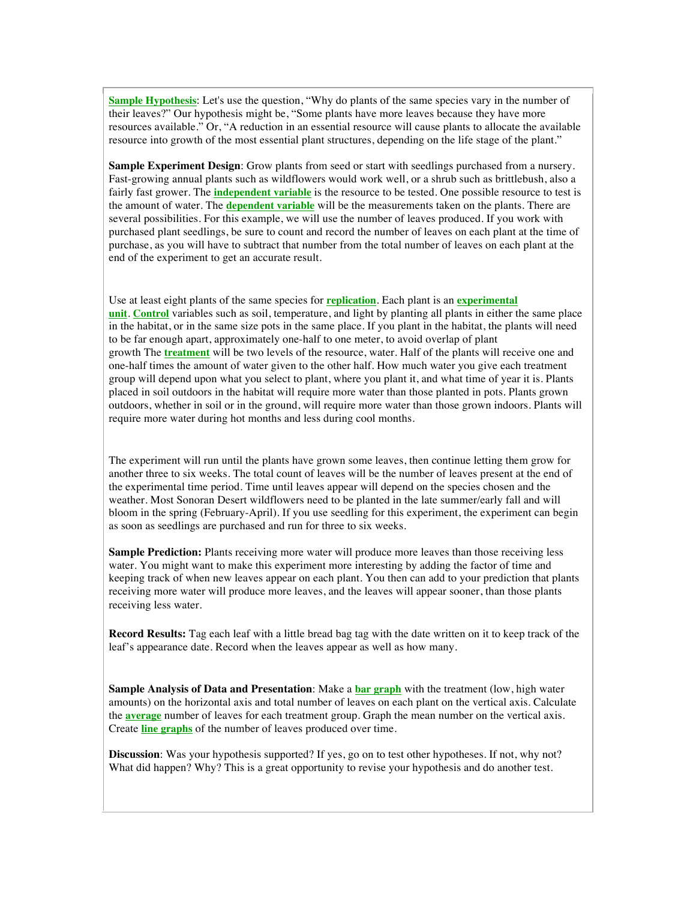**Sample Hypothesis**: Let's use the question, "Why do plants of the same species vary in the number of their leaves?" Our hypothesis might be, "Some plants have more leaves because they have more resources available." Or, "A reduction in an essential resource will cause plants to allocate the available resource into growth of the most essential plant structures, depending on the life stage of the plant."

**Sample Experiment Design**: Grow plants from seed or start with seedlings purchased from a nursery. Fast-growing annual plants such as wildflowers would work well, or a shrub such as brittlebush, also a fairly fast grower. The **independent variable** is the resource to be tested. One possible resource to test is the amount of water. The **dependent variable** will be the measurements taken on the plants. There are several possibilities. For this example, we will use the number of leaves produced. If you work with purchased plant seedlings, be sure to count and record the number of leaves on each plant at the time of purchase, as you will have to subtract that number from the total number of leaves on each plant at the end of the experiment to get an accurate result.

Use at least eight plants of the same species for **replication**. Each plant is an **experimental unit**. **Control** variables such as soil, temperature, and light by planting all plants in either the same place in the habitat, or in the same size pots in the same place. If you plant in the habitat, the plants will need to be far enough apart, approximately one-half to one meter, to avoid overlap of plant growth The **treatment** will be two levels of the resource, water. Half of the plants will receive one and one-half times the amount of water given to the other half. How much water you give each treatment group will depend upon what you select to plant, where you plant it, and what time of year it is. Plants placed in soil outdoors in the habitat will require more water than those planted in pots. Plants grown outdoors, whether in soil or in the ground, will require more water than those grown indoors. Plants will require more water during hot months and less during cool months.

The experiment will run until the plants have grown some leaves, then continue letting them grow for another three to six weeks. The total count of leaves will be the number of leaves present at the end of the experimental time period. Time until leaves appear will depend on the species chosen and the weather. Most Sonoran Desert wildflowers need to be planted in the late summer/early fall and will bloom in the spring (February-April). If you use seedling for this experiment, the experiment can begin as soon as seedlings are purchased and run for three to six weeks.

**Sample Prediction:** Plants receiving more water will produce more leaves than those receiving less water. You might want to make this experiment more interesting by adding the factor of time and keeping track of when new leaves appear on each plant. You then can add to your prediction that plants receiving more water will produce more leaves, and the leaves will appear sooner, than those plants receiving less water.

**Record Results:** Tag each leaf with a little bread bag tag with the date written on it to keep track of the leaf's appearance date. Record when the leaves appear as well as how many.

**Sample Analysis of Data and Presentation**: Make a **bar graph** with the treatment (low, high water amounts) on the horizontal axis and total number of leaves on each plant on the vertical axis. Calculate the **average** number of leaves for each treatment group. Graph the mean number on the vertical axis. Create **line graphs** of the number of leaves produced over time.

**Discussion**: Was your hypothesis supported? If yes, go on to test other hypotheses. If not, why not? What did happen? Why? This is a great opportunity to revise your hypothesis and do another test.